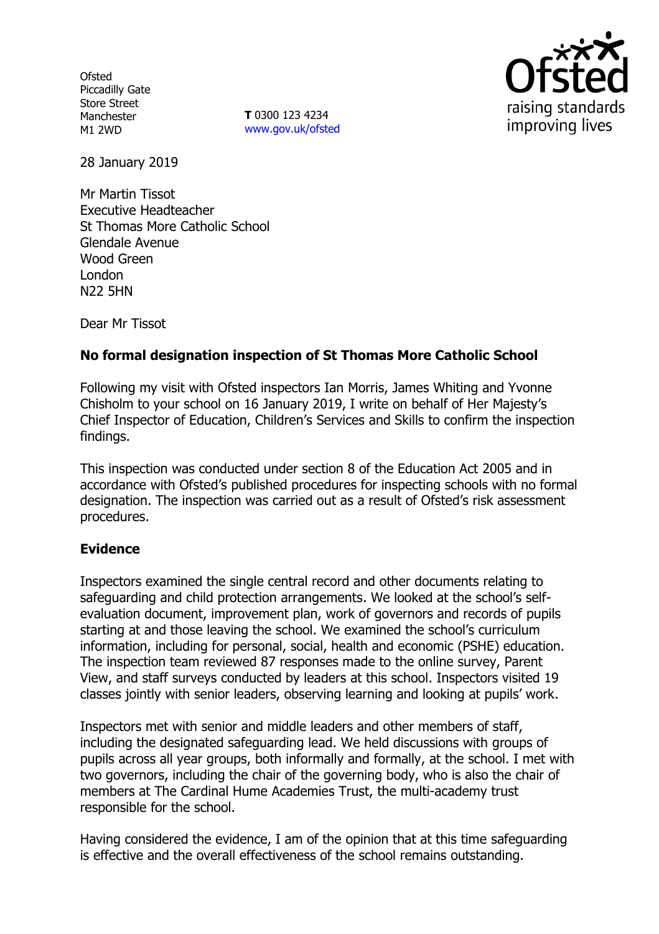**Ofsted** Piccadilly Gate Store Street Manchester M1 2WD

**T** 0300 123 4234 www.gov.uk/ofsted



28 January 2019

Mr Martin Tissot Executive Headteacher St Thomas More Catholic School Glendale Avenue Wood Green London N22 5HN

Dear Mr Tissot

## **No formal designation inspection of St Thomas More Catholic School**

Following my visit with Ofsted inspectors Ian Morris, James Whiting and Yvonne Chisholm to your school on 16 January 2019, I write on behalf of Her Majesty's Chief Inspector of Education, Children's Services and Skills to confirm the inspection findings.

This inspection was conducted under section 8 of the Education Act 2005 and in accordance with Ofsted's published procedures for inspecting schools with no formal designation. The inspection was carried out as a result of Ofsted's risk assessment procedures.

### **Evidence**

Inspectors examined the single central record and other documents relating to safeguarding and child protection arrangements. We looked at the school's selfevaluation document, improvement plan, work of governors and records of pupils starting at and those leaving the school. We examined the school's curriculum information, including for personal, social, health and economic (PSHE) education. The inspection team reviewed 87 responses made to the online survey, Parent View, and staff surveys conducted by leaders at this school. Inspectors visited 19 classes jointly with senior leaders, observing learning and looking at pupils' work.

Inspectors met with senior and middle leaders and other members of staff, including the designated safeguarding lead. We held discussions with groups of pupils across all year groups, both informally and formally, at the school. I met with two governors, including the chair of the governing body, who is also the chair of members at The Cardinal Hume Academies Trust, the multi-academy trust responsible for the school.

Having considered the evidence, I am of the opinion that at this time safeguarding is effective and the overall effectiveness of the school remains outstanding.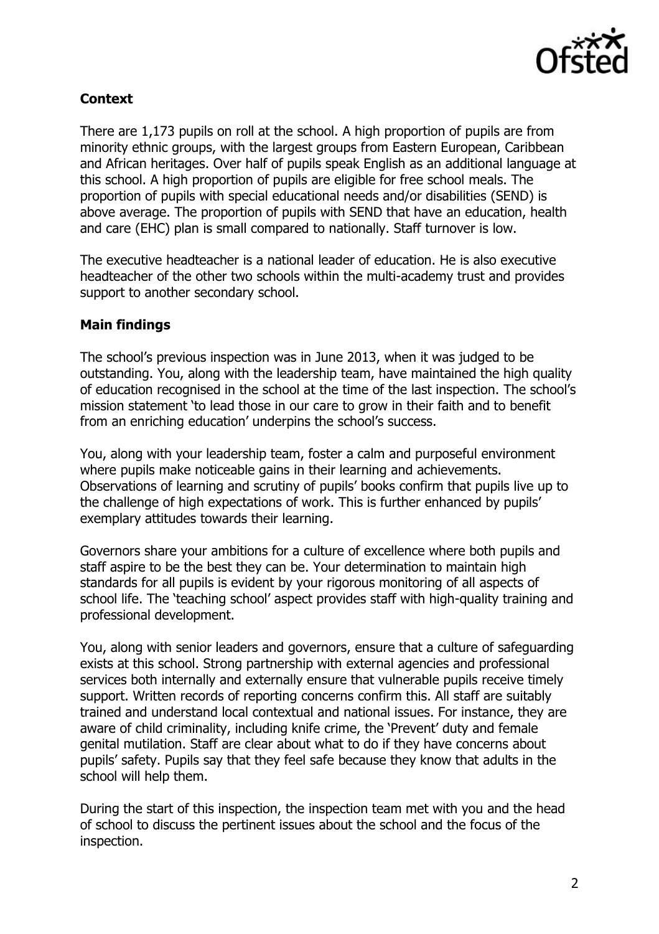

# **Context**

There are 1,173 pupils on roll at the school. A high proportion of pupils are from minority ethnic groups, with the largest groups from Eastern European, Caribbean and African heritages. Over half of pupils speak English as an additional language at this school. A high proportion of pupils are eligible for free school meals. The proportion of pupils with special educational needs and/or disabilities (SEND) is above average. The proportion of pupils with SEND that have an education, health and care (EHC) plan is small compared to nationally. Staff turnover is low.

The executive headteacher is a national leader of education. He is also executive headteacher of the other two schools within the multi-academy trust and provides support to another secondary school.

#### **Main findings**

The school's previous inspection was in June 2013, when it was judged to be outstanding. You, along with the leadership team, have maintained the high quality of education recognised in the school at the time of the last inspection. The school's mission statement 'to lead those in our care to grow in their faith and to benefit from an enriching education' underpins the school's success.

You, along with your leadership team, foster a calm and purposeful environment where pupils make noticeable gains in their learning and achievements. Observations of learning and scrutiny of pupils' books confirm that pupils live up to the challenge of high expectations of work. This is further enhanced by pupils' exemplary attitudes towards their learning.

Governors share your ambitions for a culture of excellence where both pupils and staff aspire to be the best they can be. Your determination to maintain high standards for all pupils is evident by your rigorous monitoring of all aspects of school life. The 'teaching school' aspect provides staff with high-quality training and professional development.

You, along with senior leaders and governors, ensure that a culture of safeguarding exists at this school. Strong partnership with external agencies and professional services both internally and externally ensure that vulnerable pupils receive timely support. Written records of reporting concerns confirm this. All staff are suitably trained and understand local contextual and national issues. For instance, they are aware of child criminality, including knife crime, the 'Prevent' duty and female genital mutilation. Staff are clear about what to do if they have concerns about pupils' safety. Pupils say that they feel safe because they know that adults in the school will help them.

During the start of this inspection, the inspection team met with you and the head of school to discuss the pertinent issues about the school and the focus of the inspection.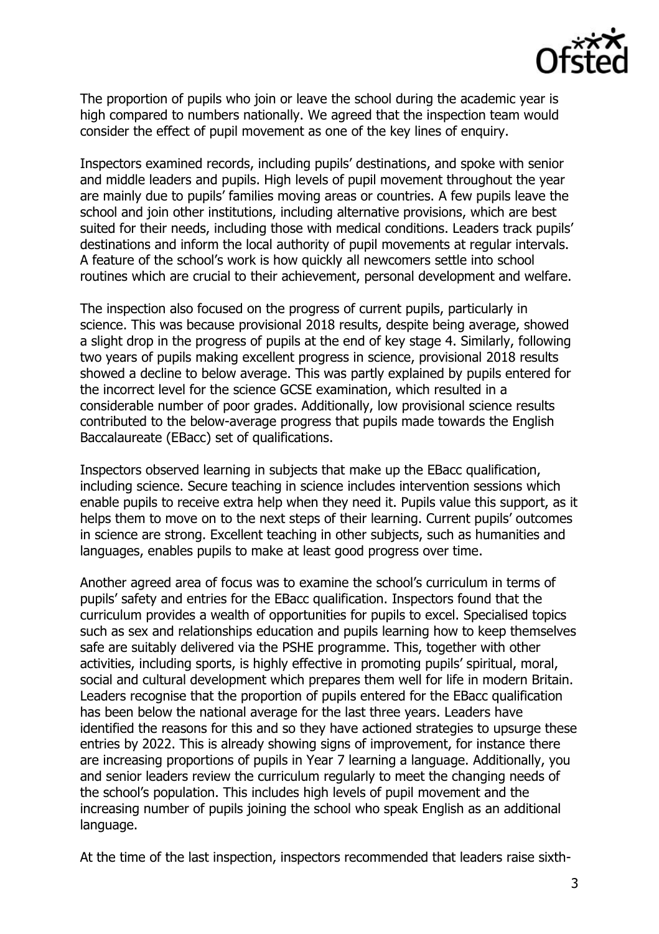

The proportion of pupils who join or leave the school during the academic year is high compared to numbers nationally. We agreed that the inspection team would consider the effect of pupil movement as one of the key lines of enquiry.

Inspectors examined records, including pupils' destinations, and spoke with senior and middle leaders and pupils. High levels of pupil movement throughout the year are mainly due to pupils' families moving areas or countries. A few pupils leave the school and join other institutions, including alternative provisions, which are best suited for their needs, including those with medical conditions. Leaders track pupils' destinations and inform the local authority of pupil movements at regular intervals. A feature of the school's work is how quickly all newcomers settle into school routines which are crucial to their achievement, personal development and welfare.

The inspection also focused on the progress of current pupils, particularly in science. This was because provisional 2018 results, despite being average, showed a slight drop in the progress of pupils at the end of key stage 4. Similarly, following two years of pupils making excellent progress in science, provisional 2018 results showed a decline to below average. This was partly explained by pupils entered for the incorrect level for the science GCSE examination, which resulted in a considerable number of poor grades. Additionally, low provisional science results contributed to the below-average progress that pupils made towards the English Baccalaureate (EBacc) set of qualifications.

Inspectors observed learning in subjects that make up the EBacc qualification, including science. Secure teaching in science includes intervention sessions which enable pupils to receive extra help when they need it. Pupils value this support, as it helps them to move on to the next steps of their learning. Current pupils' outcomes in science are strong. Excellent teaching in other subjects, such as humanities and languages, enables pupils to make at least good progress over time.

Another agreed area of focus was to examine the school's curriculum in terms of pupils' safety and entries for the EBacc qualification. Inspectors found that the curriculum provides a wealth of opportunities for pupils to excel. Specialised topics such as sex and relationships education and pupils learning how to keep themselves safe are suitably delivered via the PSHE programme. This, together with other activities, including sports, is highly effective in promoting pupils' spiritual, moral, social and cultural development which prepares them well for life in modern Britain. Leaders recognise that the proportion of pupils entered for the EBacc qualification has been below the national average for the last three years. Leaders have identified the reasons for this and so they have actioned strategies to upsurge these entries by 2022. This is already showing signs of improvement, for instance there are increasing proportions of pupils in Year 7 learning a language. Additionally, you and senior leaders review the curriculum regularly to meet the changing needs of the school's population. This includes high levels of pupil movement and the increasing number of pupils joining the school who speak English as an additional language.

At the time of the last inspection, inspectors recommended that leaders raise sixth-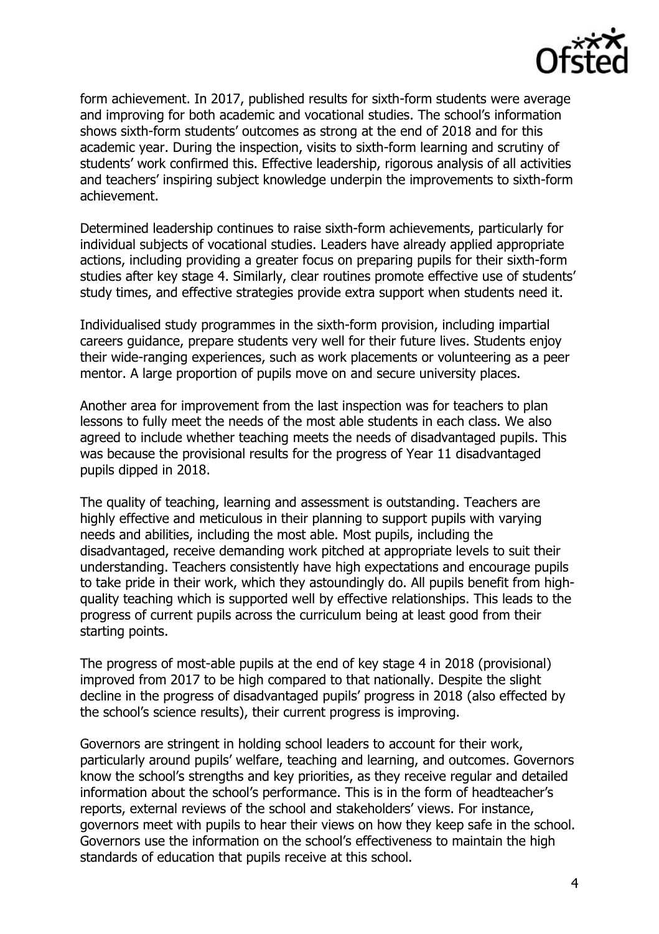

form achievement. In 2017, published results for sixth-form students were average and improving for both academic and vocational studies. The school's information shows sixth-form students' outcomes as strong at the end of 2018 and for this academic year. During the inspection, visits to sixth-form learning and scrutiny of students' work confirmed this. Effective leadership, rigorous analysis of all activities and teachers' inspiring subject knowledge underpin the improvements to sixth-form achievement.

Determined leadership continues to raise sixth-form achievements, particularly for individual subjects of vocational studies. Leaders have already applied appropriate actions, including providing a greater focus on preparing pupils for their sixth-form studies after key stage 4. Similarly, clear routines promote effective use of students' study times, and effective strategies provide extra support when students need it.

Individualised study programmes in the sixth-form provision, including impartial careers guidance, prepare students very well for their future lives. Students enjoy their wide-ranging experiences, such as work placements or volunteering as a peer mentor. A large proportion of pupils move on and secure university places.

Another area for improvement from the last inspection was for teachers to plan lessons to fully meet the needs of the most able students in each class. We also agreed to include whether teaching meets the needs of disadvantaged pupils. This was because the provisional results for the progress of Year 11 disadvantaged pupils dipped in 2018.

The quality of teaching, learning and assessment is outstanding. Teachers are highly effective and meticulous in their planning to support pupils with varying needs and abilities, including the most able. Most pupils, including the disadvantaged, receive demanding work pitched at appropriate levels to suit their understanding. Teachers consistently have high expectations and encourage pupils to take pride in their work, which they astoundingly do. All pupils benefit from highquality teaching which is supported well by effective relationships. This leads to the progress of current pupils across the curriculum being at least good from their starting points.

The progress of most-able pupils at the end of key stage 4 in 2018 (provisional) improved from 2017 to be high compared to that nationally. Despite the slight decline in the progress of disadvantaged pupils' progress in 2018 (also effected by the school's science results), their current progress is improving.

Governors are stringent in holding school leaders to account for their work, particularly around pupils' welfare, teaching and learning, and outcomes. Governors know the school's strengths and key priorities, as they receive regular and detailed information about the school's performance. This is in the form of headteacher's reports, external reviews of the school and stakeholders' views. For instance, governors meet with pupils to hear their views on how they keep safe in the school. Governors use the information on the school's effectiveness to maintain the high standards of education that pupils receive at this school.